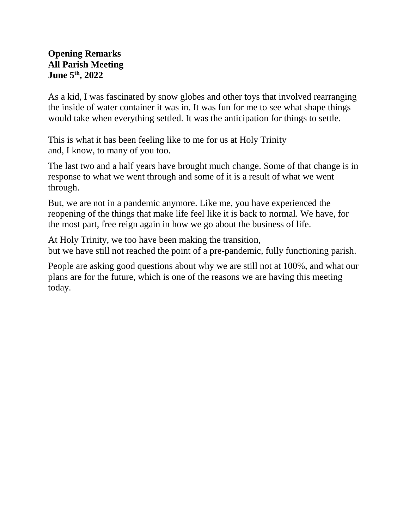### **Opening Remarks All Parish Meeting June 5th, 2022**

As a kid, I was fascinated by snow globes and other toys that involved rearranging the inside of water container it was in. It was fun for me to see what shape things would take when everything settled. It was the anticipation for things to settle.

This is what it has been feeling like to me for us at Holy Trinity and, I know, to many of you too.

The last two and a half years have brought much change. Some of that change is in response to what we went through and some of it is a result of what we went through.

But, we are not in a pandemic anymore. Like me, you have experienced the reopening of the things that make life feel like it is back to normal. We have, for the most part, free reign again in how we go about the business of life.

At Holy Trinity, we too have been making the transition, but we have still not reached the point of a pre-pandemic, fully functioning parish.

People are asking good questions about why we are still not at 100%, and what our plans are for the future, which is one of the reasons we are having this meeting today.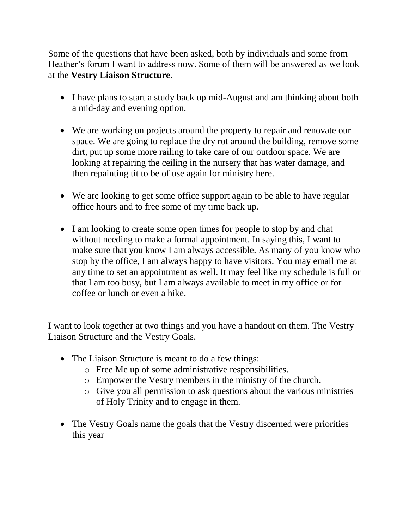Some of the questions that have been asked, both by individuals and some from Heather's forum I want to address now. Some of them will be answered as we look at the **Vestry Liaison Structure**.

- I have plans to start a study back up mid-August and am thinking about both a mid-day and evening option.
- We are working on projects around the property to repair and renovate our space. We are going to replace the dry rot around the building, remove some dirt, put up some more railing to take care of our outdoor space. We are looking at repairing the ceiling in the nursery that has water damage, and then repainting tit to be of use again for ministry here.
- We are looking to get some office support again to be able to have regular office hours and to free some of my time back up.
- I am looking to create some open times for people to stop by and chat without needing to make a formal appointment. In saying this, I want to make sure that you know I am always accessible. As many of you know who stop by the office, I am always happy to have visitors. You may email me at any time to set an appointment as well. It may feel like my schedule is full or that I am too busy, but I am always available to meet in my office or for coffee or lunch or even a hike.

I want to look together at two things and you have a handout on them. The Vestry Liaison Structure and the Vestry Goals.

- The Liaison Structure is meant to do a few things:
	- o Free Me up of some administrative responsibilities.
	- o Empower the Vestry members in the ministry of the church.
	- o Give you all permission to ask questions about the various ministries of Holy Trinity and to engage in them.
- The Vestry Goals name the goals that the Vestry discerned were priorities this year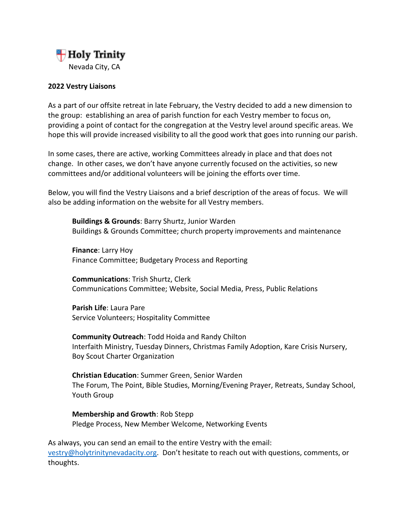

#### **2022 Vestry Liaisons**

As a part of our offsite retreat in late February, the Vestry decided to add a new dimension to the group: establishing an area of parish function for each Vestry member to focus on, providing a point of contact for the congregation at the Vestry level around specific areas. We hope this will provide increased visibility to all the good work that goes into running our parish.

In some cases, there are active, working Committees already in place and that does not change. In other cases, we don't have anyone currently focused on the activities, so new committees and/or additional volunteers will be joining the efforts over time.

Below, you will find the Vestry Liaisons and a brief description of the areas of focus. We will also be adding information on the website for all Vestry members.

**Buildings & Grounds**: Barry Shurtz, Junior Warden Buildings & Grounds Committee; church property improvements and maintenance

**Finance**: Larry Hoy Finance Committee; Budgetary Process and Reporting

**Communications**: Trish Shurtz, Clerk Communications Committee; Website, Social Media, Press, Public Relations

**Parish Life**: Laura Pare Service Volunteers; Hospitality Committee

**Community Outreach**: Todd Hoida and Randy Chilton Interfaith Ministry, Tuesday Dinners, Christmas Family Adoption, Kare Crisis Nursery, Boy Scout Charter Organization

**Christian Education**: Summer Green, Senior Warden The Forum, The Point, Bible Studies, Morning/Evening Prayer, Retreats, Sunday School, Youth Group

**Membership and Growth**: Rob Stepp Pledge Process, New Member Welcome, Networking Events

As always, you can send an email to the entire Vestry with the email: [vestry@holytrinitynevadacity.org.](mailto:vestry@holytrinitynevadacity.org) Don't hesitate to reach out with questions, comments, or thoughts.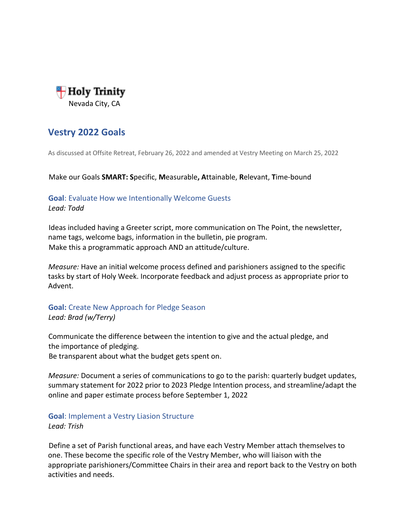

## **Vestry 2022 Goals**

As discussed at Offsite Retreat, February 26, 2022 and amended at Vestry Meeting on March 25, 2022

Make our Goals **SMART: S**pecific, **M**easurable**, A**ttainable, **R**elevant, **T**ime-bound

#### **Goal**: Evaluate How we Intentionally Welcome Guests *Lead: Todd*

Ideas included having a Greeter script, more communication on The Point, the newsletter, name tags, welcome bags, information in the bulletin, pie program. Make this a programmatic approach AND an attitude/culture.

*Measure:* Have an initial welcome process defined and parishioners assigned to the specific tasks by start of Holy Week. Incorporate feedback and adjust process as appropriate prior to Advent.

#### **Goal:** Create New Approach for Pledge Season *Lead: Brad (w/Terry)*

Communicate the difference between the intention to give and the actual pledge, and the importance of pledging. Be transparent about what the budget gets spent on.

*Measure:* Document a series of communications to go to the parish: quarterly budget updates, summary statement for 2022 prior to 2023 Pledge Intention process, and streamline/adapt the

# **Goal**: Implement a Vestry Liasion Structure

online and paper estimate process before September 1, 2022

#### *Lead: Trish*

Define a set of Parish functional areas, and have each Vestry Member attach themselves to one. These become the specific role of the Vestry Member, who will liaison with the appropriate parishioners/Committee Chairs in their area and report back to the Vestry on both activities and needs.